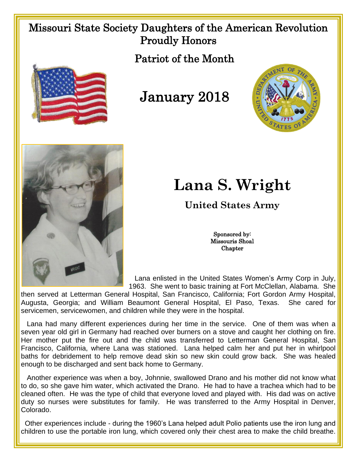## Missouri State Society Daughters of the American Revolution Proudly Honors



January 2018

Patriot of the Month





## **Lana S. Wright**

**United States Army**

Sponsored by: Missouris Shoal **Chapter** 

 Lana enlisted in the United States Women's Army Corp in July, 1963. She went to basic training at Fort McClellan, Alabama. She

then served at Letterman General Hospital, San Francisco, California; Fort Gordon Army Hospital, Augusta, Georgia; and William Beaumont General Hospital, El Paso, Texas. She cared for servicemen, servicewomen, and children while they were in the hospital.

 Lana had many different experiences during her time in the service. One of them was when a seven year old girl in Germany had reached over burners on a stove and caught her clothing on fire. Her mother put the fire out and the child was transferred to Letterman General Hospital, San Francisco, California, where Lana was stationed. Lana helped calm her and put her in whirlpool baths for debridement to help remove dead skin so new skin could grow back. She was healed enough to be discharged and sent back home to Germany.

Another experience was when a boy, Johnnie, swallowed Drano and his mother did not know what to do, so she gave him water, which activated the Drano. He had to have a trachea which had to be cleaned often. He was the type of child that everyone loved and played with. His dad was on active duty so nurses were substitutes for family. He was transferred to the Army Hospital in Denver, Colorado.

Other experiences include - during the 1960's Lana helped adult Polio patients use the iron lung and children to use the portable iron lung, which covered only their chest area to make the child breathe.